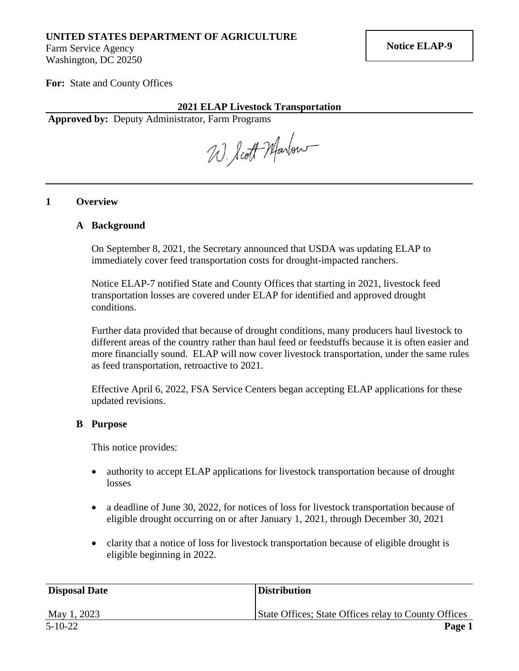# **UNITED STATES DEPARTMENT OF AGRICULTURE**

Farm Service Agency Washington, DC 20250

**For:** State and County Offices

## **2021 ELAP Livestock Transportation**

**Approved by:** Deputy Administrator, Farm Programs

W. Scott Marlow

### **1 Overview**

#### **A Background**

On September 8, 2021, the Secretary announced that USDA was updating ELAP to immediately cover feed transportation costs for drought-impacted ranchers.

Notice ELAP-7 notified State and County Offices that starting in 2021, livestock feed transportation losses are covered under ELAP for identified and approved drought conditions.

Further data provided that because of drought conditions, many producers haul livestock to different areas of the country rather than haul feed or feedstuffs because it is often easier and more financially sound. ELAP will now cover livestock transportation, under the same rules as feed transportation, retroactive to 2021.

Effective April 6, 2022, FSA Service Centers began accepting ELAP applications for these updated revisions.

### **B Purpose**

This notice provides:

- authority to accept ELAP applications for livestock transportation because of drought losses
- a deadline of June 30, 2022, for notices of loss for livestock transportation because of eligible drought occurring on or after January 1, 2021, through December 30, 2021
- clarity that a notice of loss for livestock transportation because of eligible drought is eligible beginning in 2022.

| <b>Disposal Date</b> | <b>Distribution</b>                                  |
|----------------------|------------------------------------------------------|
| May 1, 2023          | State Offices; State Offices relay to County Offices |
| 5-10-22              | Page 1                                               |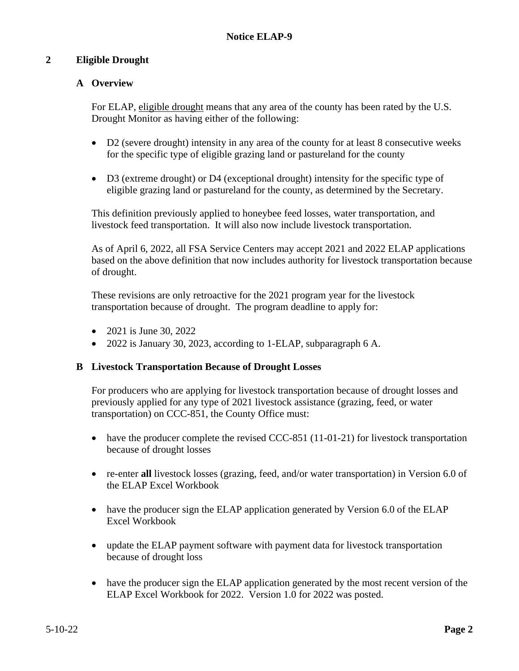# **2 Eligible Drought**

# **A Overview**

For ELAP, eligible drought means that any area of the county has been rated by the U.S. Drought Monitor as having either of the following:

- D2 (severe drought) intensity in any area of the county for at least 8 consecutive weeks for the specific type of eligible grazing land or pastureland for the county
- D3 (extreme drought) or D4 (exceptional drought) intensity for the specific type of eligible grazing land or pastureland for the county, as determined by the Secretary.

This definition previously applied to honeybee feed losses, water transportation, and livestock feed transportation. It will also now include livestock transportation.

As of April 6, 2022, all FSA Service Centers may accept 2021 and 2022 ELAP applications based on the above definition that now includes authority for livestock transportation because of drought.

These revisions are only retroactive for the 2021 program year for the livestock transportation because of drought. The program deadline to apply for:

- 2021 is June 30, 2022
- 2022 is January 30, 2023, according to 1-ELAP, subparagraph 6 A.

## **B Livestock Transportation Because of Drought Losses**

For producers who are applying for livestock transportation because of drought losses and previously applied for any type of 2021 livestock assistance (grazing, feed, or water transportation) on CCC-851, the County Office must:

- have the producer complete the revised CCC-851 (11-01-21) for livestock transportation because of drought losses
- re-enter **all** livestock losses (grazing, feed, and/or water transportation) in Version 6.0 of the ELAP Excel Workbook
- have the producer sign the ELAP application generated by Version 6.0 of the ELAP Excel Workbook
- update the ELAP payment software with payment data for livestock transportation because of drought loss
- have the producer sign the ELAP application generated by the most recent version of the ELAP Excel Workbook for 2022. Version 1.0 for 2022 was posted.